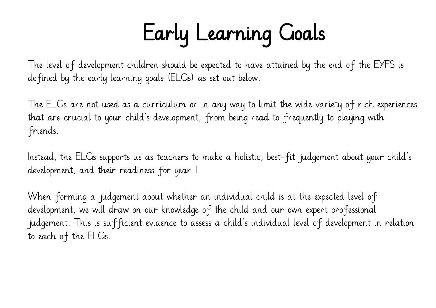# Early Learning Goals

The level of development children should be expected to have attained by the end of the EYFS is defined by the early learning goals (ELGs) as set out below.

The ELGs are not used as a curriculum or in any way to limit the wide variety of rich experiences that are crucial to your child's development, from being read to frequently to playing with friends.

Instead, the ELGs supports us as teachers to make a holistic, best-fit judgement about your child's development, and their readiness for year 1.

When forming a judgement about whether an individual child is at the expected level of development, we will draw on our knowledge of the child and our own expert professional judgement. This is sufficient evidence to assess a child's individual level of development in relation to each of the ELGs.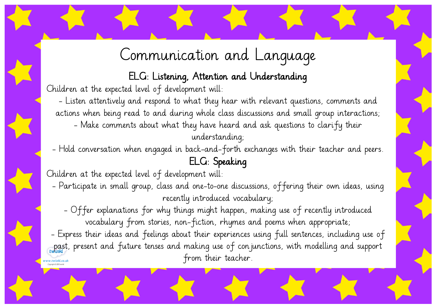### Communication and Language

ELG: Listening, Attention and Understanding

Children at the expected level of development will:

- Listen attentively and respond to what they hear with relevant questions, comments and actions when being read to and during whole class discussions and small group interactions; - Make comments about what they have heard and ask questions to clarify their understanding;

- Hold conversation when engaged in back-and-forth exchanges with their teacher and peers.

#### ELG: Speaking

Children at the expected level of development will:

- Participate in small group, class and one-to-one discussions, offering their own ideas, using recently introduced vocabulary;

- Offer explanations for why things might happen, making use of recently introduced vocabulary from stories, non-fiction, rhymes and poems when appropriate;

- Express their ideas and feelings about their experiences using full sentences, including use of past, present and future tenses and making use of conjunctions, with modelling and support from their teacher.w.twinkl.co.uk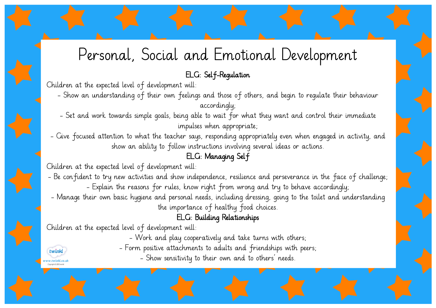### Personal, Social and Emotional Development

#### ELG: Self-Regulation

Children at the expected level of development will:

- Show an understanding of their own feelings and those of others, and begin to regulate their behaviour accordingly;
- Set and work towards simple goals, being able to wait for what they want and control their immediate impulses when appropriate;
- Give focused attention to what the teacher says, responding appropriately even when engaged in activity, and show an ability to follow instructions involving several ideas or actions.

#### ELG: Managing Self

Children at the expected level of development will:

- Be confident to try new activities and show independence, resilience and perseverance in the face of challenge; - Explain the reasons for rules, know right from wrong and try to behave accordingly;
- Manage their own basic hygiene and personal needs, including dressing, going to the toilet and understanding the importance of healthy food choices.

#### ELG: Building Relationships

Children at the expected level of development will:

twinkl w.twinkl.co.uk - Work and play cooperatively and take turns with others;

- Form positive attachments to adults and friendships with peers;

- Show sensitivity to their own and to others' needs.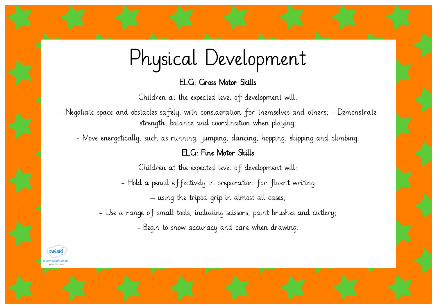## Physical Development

ELG: Gross Motor Skills

Children at the expected level of development will:

- Negotiate space and obstacles safely, with consideration for themselves and others; - Demonstrate strength, balance and coordination when playing;

- Move energetically, such as running, jumping, dancing, hopping, skipping and climbing.

#### ELG: Fine Motor Skills

Children at the expected level of development will:

- Hold a pencil effectively in preparation for fluent writing – using the tripod grip in almost all cases;

- Use a range of small tools, including scissors, paint brushes and cutlery; - Begin to show accuracy and care when drawing.

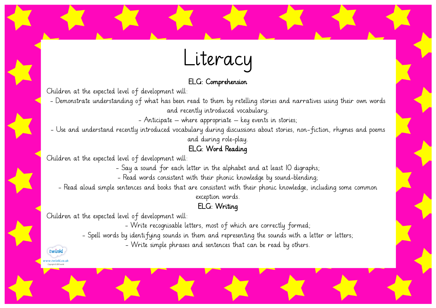## Literacy

#### ELG: Comprehension

Children at the expected level of development will:

- Demonstrate understanding of what has been read to them by retelling stories and narratives using their own words and recently introduced vocabulary;

- Anticipate – where appropriate – key events in stories;

- Use and understand recently introduced vocabulary during discussions about stories, non-fiction, rhymes and poems and during role-play.

#### ELG: Word Reading

Children at the expected level of development will:

- Say a sound for each letter in the alphabet and at least 10 digraphs;

- Read words consistent with their phonic knowledge by sound-blending;

- Read aloud simple sentences and books that are consistent with their phonic knowledge, including some common

exception words.

#### ELG: Writing

Children at the expected level of development will:

twinkl w.twinkl.co.uk Converiente (P) 2012 tuvin

- Write recognisable letters, most of which are correctly formed;

- Spell words by identifying sounds in them and representing the sounds with a letter or letters;

- Write simple phrases and sentences that can be read by others.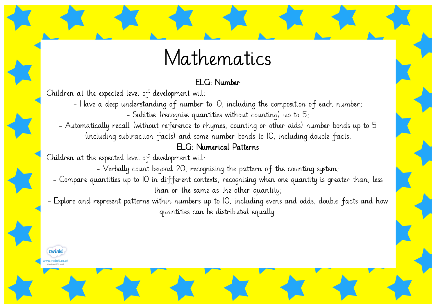### Mathematics

#### ELG: Number

Children at the expected level of development will:

- Have a deep understanding of number to 10, including the composition of each number;

- Subitise (recognise quantities without counting) up to 5;

- Automatically recall (without reference to rhymes, counting or other aids) number bonds up to 5 (including subtraction facts) and some number bonds to 10, including double facts.

#### ELG: Numerical Patterns

Children at the expected level of development will:

- Verbally count beyond 20, recognising the pattern of the counting system;

- Compare quantities up to 10 in different contexts, recognising when one quantity is greater than, less than or the same as the other quantity;

- Explore and represent patterns within numbers up to 10, including evens and odds, double facts and how quantities can be distributed equally.

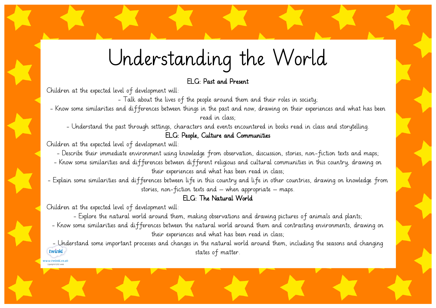Understanding the World

#### ELG: Past and Present

Children at the expected level of development will:

- Talk about the lives of the people around them and their roles in society;

- Know some similarities and differences between things in the past and now, drawing on their experiences and what has been read in class;

- Understand the past through settings, characters and events encountered in books read in class and storytelling.

#### ELG: People, Culture and Communities

Children at the expected level of development will:

- Describe their immediate environment using knowledge from observation, discussion, stories, non-fiction texts and maps;

- Know some similarities and differences between different religious and cultural communities in this country, drawing on their experiences and what has been read in class;

- Explain some similarities and differences between life in this country and life in other countries, drawing on knowledge from stories, non-fiction texts and – when appropriate – maps.

#### ELG: The Natural World

Children at the expected level of development will:

w.twinkl.co.u .<br>Constale in 2012 tod

- Explore the natural world around them, making observations and drawing pictures of animals and plants;

- Know some similarities and differences between the natural world around them and contrasting environments, drawing on their experiences and what has been read in class;

- Understand some important processes and changes in the natural world around them, including the seasons and changing twinkl states of matter.